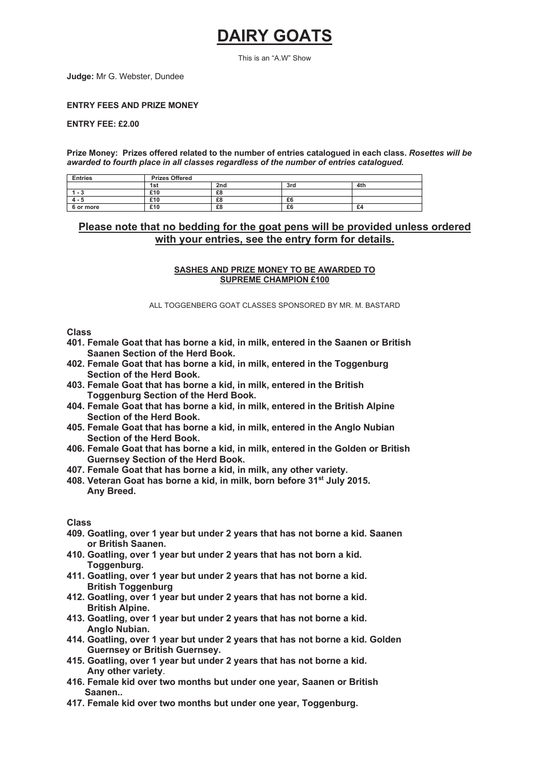# **DAIRY GOATS**

This is an "A.W" Show

**Judge:** Mr G. Webster, Dundee

**ENTRY FEES AND PRIZE MONEY**

**ENTRY FEE: £2.00**

**Prize Money: Prizes offered related to the number of entries catalogued in each class.** *Rosettes will be awarded to fourth place in all classes regardless of the number of entries catalogued.*

| <b>Entries</b> | <b>Prizes Offered</b> |                 |     |     |
|----------------|-----------------------|-----------------|-----|-----|
|                | 1st                   | 2 <sub>nd</sub> | 3rd | 4th |
| 1 - ა          | £10                   | £8              |     |     |
| $4 - 5$        | £10                   | £8              | £6  |     |
| 6 or more      | £10                   | £8              | £6  | £4  |

## **Please note that no bedding for the goat pens will be provided unless ordered with your entries, see the entry form for details.**

#### **SASHES AND PRIZE MONEY TO BE AWARDED TO SUPREME CHAMPION £100**

ALL TOGGENBERG GOAT CLASSES SPONSORED BY MR. M. BASTARD

#### **Class**

- **401. Female Goat that has borne a kid, in milk, entered in the Saanen or British Saanen Section of the Herd Book.**
- **402. Female Goat that has borne a kid, in milk, entered in the Toggenburg Section of the Herd Book.**
- **403. Female Goat that has borne a kid, in milk, entered in the British Toggenburg Section of the Herd Book.**
- **404. Female Goat that has borne a kid, in milk, entered in the British Alpine Section of the Herd Book.**
- **405. Female Goat that has borne a kid, in milk, entered in the Anglo Nubian Section of the Herd Book.**
- **406. Female Goat that has borne a kid, in milk, entered in the Golden or British Guernsey Section of the Herd Book.**
- **407. Female Goat that has borne a kid, in milk, any other variety.**
- **408. Veteran Goat has borne a kid, in milk, born before 31st July 2015. Any Breed.**

#### **Class**

- **409. Goatling, over 1 year but under 2 years that has not borne a kid. Saanen or British Saanen.**
- **410. Goatling, over 1 year but under 2 years that has not born a kid. Toggenburg.**
- **411. Goatling, over 1 year but under 2 years that has not borne a kid. British Toggenburg**
- **412. Goatling, over 1 year but under 2 years that has not borne a kid. British Alpine.**
- **413. Goatling, over 1 year but under 2 years that has not borne a kid. Anglo Nubian.**
- **414. Goatling, over 1 year but under 2 years that has not borne a kid. Golden Guernsey or British Guernsey.**
- **415. Goatling, over 1 year but under 2 years that has not borne a kid. Any other variety**.
- **416. Female kid over two months but under one year, Saanen or British Saanen..**
- **417. Female kid over two months but under one year, Toggenburg.**